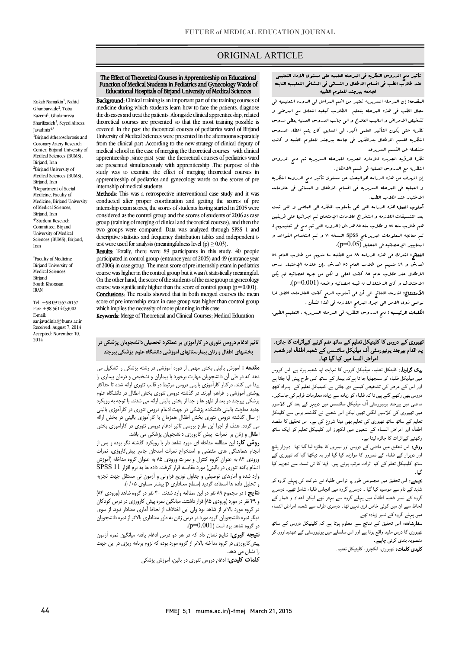## ORIGINAL ARTICLE

#### The Effect of Theoretical Courses in Apprenticeship on Educational<br>Function of Medical Students in Pediatrics and Gynecology Wards of Educational Hospitals of Birjand University of Medical Sciences Function of Medical Students in Pediatrics and Gynecology Wards of

Ī

**Exaggeding**, chincal daming is an important part of the daming courses of medicine during which students learn how to face the patients, diagnose the diseases and treat the patients. Alongside clinical apprenticeship, related covered. In the past the theoretical courses of pediatrics ward of Birjand University of Medical Sciences were presented in the afternoons separately medical school in the case of merging the theoretical courses with clinical apprenticeship ,since past year the theoretical courses of pediatrics ward study was to examine the effect of merging theoretical courses in apprenticeship of pediatrics and gynecology wards on the scores of pre Background: Clinical training is an important part of the training courses of theoretical courses are presented so that the most training possible is from the clinical part .According to the new strategy of clinical deputy of are presented simultaneously with apprenticeship .The purpose of this internship of medical students.

Methods: This was a retrospective interventional case study and it was internship exam scores, the scores of students having started in 2005 were considered as the control group and the scores of students of 2006 as case two groups were compared. Data was analyzed through SPSS 1 and descriptive statistics and frequency distribution tables and independent tconducted after proper coordination and getting the scores of pre group (training of merging of clinical and theoretical courses), and then the test were used for analysis (meaningfulness level (p)  $\geq$  0.03).

**Results:** Totally, there were 89 participants in this study. 40 people participated in control group (entrance year of 2005) and 49 (entrance year course was higher in the control group but it wasn't statistically meaningful. On the other hand, the score of the students of the case group in gynecology of 2006) in case group. The mean score of pre internship exam in pediatrics course was significantly higher than the score of control group ( $p=0.001$ ).

Conclusions: The results showed that in both merged courses the mean score of pre miernship exam in case group was higher transfer<br>which implies the necessity of more planning in this case. score of pre internship exam in case group was higher than control group

Keywords: Merge of Theoretical and Clinical Courses; Medical Education

# تاثیر ادغام دروس تئوري در کارآموزي بر عملکرد تحصیلی دانشجویان پزشکی در بخشهاي اطفال و زنان بیمارستانهاي آموزشی دانشگاه علوم پزشکی بیرجند

 مقدمه : آموزش بالینی بخش مهمی از دوره آموزشی در رشته پزشکی را تشکیل می پیدا می کنند. درکنار کارآموزي بالینی دروس مرتبط در قالب تئوري ارائه شده تا حداکثر پوشش آموزشی را فراهم آورند. در گذشته دروس تئوري بخش اطفال در دانشگاه علوم پزشکی بیرجند در بعد از ظهر ها و جدا از بخش بالینی ارائه می شدند. با توجه به رویکرد<br>این سال این سال این ک از سال گذشته دروس تئوري بخش اطفال همزمان با کارآموزي بالینی در بخش ارائه می گردد. هدف از اجرا این طرح بررسی تاثیر ادغام دروس تئوري در کارآموزي بخش اطفال و زنان بر نمرات پیش کارورزي دانشجویان پزشکی می باشد. دهد که در طی آن دانشجویان مهارت برخورد با بیماران و تشخیص و درمان بیماري را جدید معاونت بالینی دانشکده پزشکی در جهت ادغام دروس تئوري در کارآموزي بالینی

 انجام هماهنگی هاي مقتضی و استخراج نمرات امتحان جامع پیشکاروزي، نمرات ورودي 84 به عنوان گروه کنترل و نمرات ورودي 85 به عنوان گروه مداخله (آموزش ادغام یافته تئوري در بالینی) مورد مقایسه قرار گرفت. داده ها به نرم افزار 11 SPSS و تحلیل داده ها استفاده گردید (سطح معناداري p بیشتر مساوي 0/05). **روش کار:** این مطالعه مداخله ای مورد شاهد دار با رویکرد گذشته نگر بوده و پس از وارد شده و آمارهاي توصیفی و جداول توزیع فراوانی و آزمون تی مستقل جهت تجزیه

 نتایج : در مجموع 89 نفر در این مطالعه وارد شدند. 40 نفر در گروه شاهد (ورودي 84) و 49 نفر در مورد (ورودي 85) قرار داشتند. میانگین نمره پیش کارورزي در درس کودکان دیگر نمره دانشجویان گروه مورد در درس زنان به طور معناداري بالاتر از نمره دانشجویان در گروه شاهد بود است (0.001=p(. در گروه مورد بالاتر از شاهد بود ولی این اختلاف از لحاظ آماري معنادار نبود. از سوي

**نتیجه گیری:** نتایج نشان داد که در هر دو درس ادغام یافته میانگین نمره آزمون<br>. پیشکارورزي در گروه مداخله بالاتر از گروه مورد بوده که لزوم برنامه ریزی در این جهت<br>۱. نشان می دهد. را نشان می دهد.

کلمات کلیدي: ادغام دروس تئوري در بالین، آموزش پزشکی

## تأثیر دمج الدروس النظریه فی المرحله العلمیه علی مستوي الاداء التعلیمی عند طلاب الطب فی اقسام الاطفال و النسائی فی المشافی التعلیمیه التابعه لجامعه بیرجند للعلوم الطبیه

Ī

 المقدمه: إن المرحله السریریه تعتبر من اهم المراحل فی الدوره التعلیمیه فی مجال الطب فی هذه البرحله یتعلم الطلاب کیفیه التعامل مع البرضی و<br>. نظریه حتی یکون التأثیر العلمی اکبر. فی السابق کان یتم اعطاء الدروس النظریه لقسم الاطفال بعدالظهر فی جامعه بیرجند للعلوم الطبیه و کانت منفصله عن القسم السریري. تشخیص الامراض و اسالیب العلاج و الی جانب الدروس العملیه یعطی دروس

> نظرا للرؤیه الجدیده للاداره الجدیده للمرحله السریریه تم دمج الدروس النظریه مع الدروس العملیه فی قسم الاطفال.

> إن الهدف من هذه الدراسه هوالبحث عن مستوي تأثیر دمج الدروسه النظریه الاختبار عند طلاب الطب. و العملیه فی المرحله السریریه فی اقسام الاطفال و النسائی فی علامات

> .<br>**أسلوب العمل:** هذه الدراسه التی هی بأسلوب النظره الی العاضی و التی تمت بعد التنسیقات اللازمه و استخراج علامات الإمتحان تم اجرائها علی فریقین هم طلاب سنه 84 و طلاب سنه 85 هد.ش (الدوره التی تم دمج فی تعلیمهم). تم معالجه المعلومات عبربرنامج spss النسخه 11 و تم استخدام القواعد و المعابییر الإحصائیه فی التحلیل (0.05=p(.

> هد.ش و 49 منهم من طلاب العام 85 هد.ش .إن علامه الإختبار درس الاطفال عند طلاب عام 85 کانت اعلی و لکن من جهه احصائیه لم یکن الاختلاف و کان الاختلاف له قیمه احصائیه واضحه (0.001=p(. النتائج: اشترك فی هذه الدراسه 89 من الطلبه 40 منهم من طلاب العام 84

> الأستنتاج: اشارت النتائج الی أن فی أسلوب الدمج کانت العلامات افضل لذا نوصی ذوي الامر الی اجراء البرامج اللازمه فی هذا الشأن .

الکلمات الرئیسیه : دمج الدروس النظریه فی المرحله السریریه ، التعلیم الطبی.

#### l ֦ نھیوری کے دروس کا کلینیکل تعلیم کے ساتھ ضم کرنے کےاثرات کا جائزہ۔ بہ اقدام بیرجند یونیورسٹی آف میڈیکل سائنسس کے شعبہ اطفال اور شعبہ امراض النسا میں کیا گیا تھا۔

**ییک گراونڈ:** کلینکل تعلیم، میڈیکل کورس کا نہایت اہم شعبہ ہوتا ہے۔اس کورس میں سیدیمن عمبۂ ہو سمجھی ب ں ہے تہ بیمار سے ساتھ نس عزے پیس ایا جاتا ہے<br>اور اس کے مرض کی تشخیص کیسے دی جاتی ہے۔کلینیکل تعلیم کے ہمراہ کچھ دروس بھی رکھے گئے ہیں تا کہ طلباء کو زیادہ سے زیادہ معلومات فراہم کی جاسکیں۔ ماضی میں بیرجند یونیورسٹی آف میڈیکل سائنسس میں دوپہر کے بعد کی کلاسوں میں تھیوری کی کلاسیں لگتی تھیں لیکن اس شعبے نے گذشتہ برس سے کلینکل ۔ اس سے سے مستحدہ کے سے اس کے سے دوسرے کے سے سے سے اس اس اور امراض النساء کے شعبوں میں لکھا تھا۔<br>اظفال اور امراض النساء کے شعبوں میں لکچرز اور کلینیکل تعلیم کو ایک ساتھ رکھنے کےاثرات کا جائزہ لینا ہے. میں میڈیکل طلباء کو سمجھایا جا تا ہےکہ بیمار کے ساتھ کس طرح پیش آیا جاتا ہے تعلیم کے ساتھ ساتھ تھیوری کی تعلیم بھی دینا شروع کی ہے۔ اس تحقیق کا مقصد

**روش:** اس تحقیق میں ماضی کے دروس اور نمبروں کا جائزہ لیا گیا تھا۔ دوہزار پانچ<br>۔ رو ہزر ر کے معمد کے مقدرت کے دریا کہ اس کے مقدرت کے مقدرت کے دریا ہے۔<br>ساتھ کلینیکل تعلم کے کیا اثرات مرتب ہوتے ہیں۔ ڈیٹا کا ٹی ٹسٹ سے تجزیہ کیا اور دوہزار کے طلباء کے نمبروں کا موازنہ کیا گیا اور یہ دیکھا گیا کہ تھیوری کے گیا۔

**تیجے:** اس تحقیق میں مجموعی طور پر نواسی طلباء نے شرکت کی پہلے گروہ کو ساہد سے نام سے موسوم بیا بیا ۔ دوسرے نزود میں انتہاس سباح سامل بھے۔ دوسرے<br>گروہ کے نمبر شعبہ اطفال میں پہلے گروہ سے بہتر تھے لیکن اعداد و شمار کے ۔<br>لحاظ سے ان میں کوئي خاص فرق نہیں تھا۔ دوسری طرف سے شعبہ امراض النساء میں پہلے گروہ کے نمبر زیادہ تھے۔ شاہد کے نام سے موسوم کیا گیا ۔ دوسرے گروہ میں انچاس طلباء شامل تھے۔ دوسرے

**سفارشات:** اس تحقیق کے نتائج سے معلوم ہوتا ہے کہ کلینیکل دروس کے ساتھ<br>مسلمان ی ۔ تھیوری کا درس مفید واقع ہوتا ہے اور اس سلسلے میں یونیورسٹی کے عھدیداروں کو

**کلیدی کلمات:** تهیوری، لکچرز، کلینیکل تعلیم<sub>-</sub>

Kokab Namakin<sup>1</sup>, Nahid Ghanbarzade<sup>2</sup>, Toba Kazemi<sup>1</sup>, Gholamreza Sharifzadeh<sup>3</sup>, Seyed Alireza Javadinia4,\* 1 Birjand Atherosclerosis and Coronary Artery Research Center, Birjand University of

Medical Sciences (BUMS), Birjand, Iran <sup>2</sup>Birjand University of Medical Sciences (BUMS), Birjand, Iran 3 Department of Social Medicine, Faculty of Medicine, Birjand University of Medical Sciences, Birjand, Iran 4\* Student Research Committee, Birjand University of Medical Sciences (BUMS), Birjand, Iran

\* Faculty of Medicine Biriand University of Medical Sciences Birjand South Khorasan IRAN

Tel: +98 09155728157 Fax: +98 5614433002 E-mail: sar.javadinja@bums.ac.ir Received: August 7, 2014 Accepted: November 10, 2014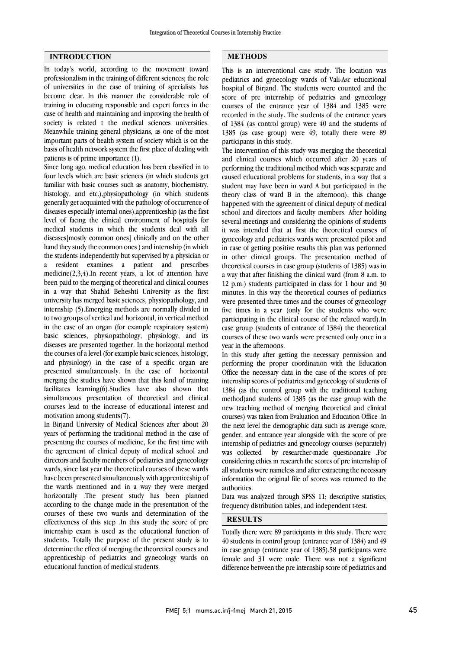### **INTRODUCTION**

In today's world, according to the movement toward professionalism in the training of different sciences; the role of universities in the case of training of specialists has become clear. In this manner the considerable role of training in educating responsible and expert forces in the case of health and maintaining and improving the health of society is related t the medical sciences universities. Meanwhile training general physicians, as one of the most important parts of health system of society which is on the basis of health network system the first place of dealing with patients is of prime importance (1).

Since long ago, medical education has been classified in to four levels which are basic sciences (in which students get familiar with basic courses such as anatomy, biochemistry, histology, and etc.),physiopathology (in which students generally get acquainted with the pathology of occurrence of diseases especially internal ones),apprenticeship (as the first level of facing the clinical environment of hospitals for medical students in which the students deal with all diseases[mostly common ones] clinically and on the other hand they study the common ones ) and internship (in which the students independently but supervised by a physician or a resident examines a patient and prescribes medicine $(2,3,4)$ .In recent years, a lot of attention have been paid to the merging of theoretical and clinical courses in a way that Shahid Beheshti University as the first university has merged basic sciences, physiopathology, and internship (5).Emerging methods are normally divided in to two groups of vertical and horizontal, in vertical method in the case of an organ (for example respiratory system) basic sciences, physiopathology, physiology, and its diseases are presented together. In the horizontal method the courses of a level (for example basic sciences, histology, and physiology) in the case of a specific organ are presented simultaneously. In the case of horizontal merging the studies have shown that this kind of training facilitates learning(6).Studies have also shown that simultaneous presentation of theoretical and clinical courses lead to the increase of educational interest and motivation among students(7).

In Birjand University of Medical Sciences after about 20 years of performing the traditional method in the case of presenting the courses of medicine, for the first time with the agreement of clinical deputy of medical school and directors and faculty members of pediatrics and gynecology wards, since last year the theoretical courses of these wards have been presented simultaneously with apprenticeship of the wards mentioned and in a way they were merged horizontally .The present study has been planned according to the change made in the presentation of the courses of these two wards and determination of the effectiveness of this step .In this study the score of pre internship exam is used as the educational function of students. Totally the purpose of the present study is to determine the effect of merging the theoretical courses and apprenticeship of pediatrics and gynecology wards on educational function of medical students.

### **METHODS**

 $\overline{a}$ 

 This is an interventional case study. The location was pediatrics and gynecology wards of Vali-Asr educational score of pre internship of pediatrics and gynecology courses of the entrance year of 1384 and 1385 were recorded in the study. The students of the entrance years of 1384 (as control group) were 40 and the students of participants in this study. hospital of Birjand. The students were counted and the 1385 (as case group) were 49, totally there were 89

 The intervention of this study was merging the theoretical and clinical courses which occurred after 20 years of performing the traditional method which was separate and student may have been in ward A but participated in the theory class of ward B in the afternoon), this change happened with the agreement of clinical deputy of medical school and directors and faculty members. After holding it was intended that at first the theoretical courses of gynecology and pediatrics wards were presented pilot and in case of getting positive results this plan was performed in other clinical groups. The presentation method of a way that after finishing the clinical ward (from  $8$  a.m. to 12 p.m.) students participated in class for 1 hour and 30 minutes. In this way the theoretical courses of pediatrics were presented three times and the courses of gynecology participating in the clinical course of the related ward).In case group (students of entrance of 1384) the theoretical courses of these two wards were presented only once in a year in the afternoons. caused educational problems for students, in a way that a several meetings and considering the opinions of students theoretical courses in case group (students of 1385) was in five times in a year (only for the students who were

 performing the proper coordination with the Education Office the necessary data in the case of the scores of pre internship scores of pediatrics and gynecology of students of 1384 (as the control group with the traditional teaching new teaching method of merging theoretical and clinical courses) was taken from Evaluation and Education Office .In the next level the demographic data such as average score, gender, and entrance year alongside with the score of pre was collected by researcher-made questionnaire .For considering ethics in research the scores of pre internship of all students were nameless and after extracting the necessary information the original file of scores was returned to the In this study after getting the necessary permission and method)and students of 1385 (as the case group with the internship of pediatrics and gynecology courses (separately) authorities.

 Data was analyzed through SPSS 11; descriptive statistics, frequency distribution tables, and independent t-test.

# **RESULTS**

j  $\overline{\phantom{0}}$ 

 Totally there were 89 participants in this study. There were 40 students in control group (entrance year of 1384) and 49 in case group (entrance year of 1385).58 participants were female and 31 were male. There was not a significant difference between the pre internship score of pediatrics and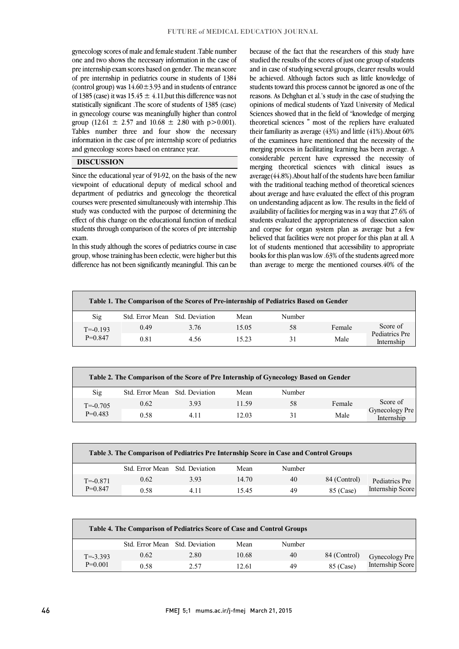gynecology scores of male and female student .Table number one and two shows the necessary information in the case of pre internship exam scores based on gender. The mean score  $\frac{60 \text{ ft}}{100 \text{ ft}}$  (control group) was  $14.60 \pm 3.93$  and in students of entrance of 1385 (case) it was  $15.45 \pm 4.11$ , but this difference was not statistically significant .The score of students of 1385 (case) in gynecology course was meaningfully higher than control Tables number three and four show the necessary information in the case of pre internship score of pediatrics of pre internship in pediatrics course in students of 1384 group (12.61  $\pm$  2.57 and 10.68  $\pm$  2.80 with p > 0.001). and gynecology scores based on entrance year.

#### DISCUSSION

 Since the educational year of 91-92, on the basis of the new viewpoint of educational deputy of medical school and department of pediatrics and gynecology the theoretical courses were presented simultaneously with internship .This effect of this change on the educational function of medical students through comparison of the scores of pre internship study was conducted with the purpose of determining the exam.

 In this study although the scores of pediatrics course in case difference has not been significantly meaningful. This can be group, whose training has been eclectic, were higher but this

 because of the fact that the researchers of this study have studied the results of the scores of just one group of students and in case of studying several groups, clearer results would students toward this process cannot be ignored as one of the reasons. As Dehghan et al.'s study in the case of studying the opinions of medical students of Yazd University of Medical Sciences showed that in the field of "knowledge of merging theoretical sciences  $\degree$  most of the repliers have evaluated of the examinees have mentioned that the necessity of the merging process in facilitating learning has been average. A considerable percent have expressed the necessity of average(44.8%).About half of the students have been familiar with the traditional teaching method of theoretical sciences about average and have evaluated the effect of this program on understanding adjacent as low. The results in the field of availability of facilities for merging was in a way that 27.6% of and corpse for organ system plan as average but a few believed that facilities were not proper for this plan at all. A lot of students mentioned that accessibility to appropriate than average to merge the mentioned courses.40% of the be achieved. Although factors such as little knowledge of their familiarity as average (43%) and little (41%).About 60% merging theoretical sciences with clinical issues as students evaluated the appropriateness of dissection salon books for this plan was low .63% of the students agreed more

 $\overline{a}$ 

| Table 1. The Comparison of the Scores of Pre-internship of Pediatrics Based on Gender |                                |      |       |        |        |                                          |
|---------------------------------------------------------------------------------------|--------------------------------|------|-------|--------|--------|------------------------------------------|
| Sig                                                                                   | Std. Error Mean Std. Deviation |      | Mean  | Number |        |                                          |
| $T = -0.193$<br>$P=0.847$                                                             | 0.49                           | 3.76 | 15.05 | 58     | Female | Score of<br>Pediatrics Pre<br>Internship |
|                                                                                       | 0.81                           | 4.56 | 15.23 | 31     | Male   |                                          |
|                                                                                       |                                |      |       |        |        |                                          |

| Table 2. The Comparison of the Score of Pre Internship of Gynecology Based on Gender |                                |       |       |        |        |                              |
|--------------------------------------------------------------------------------------|--------------------------------|-------|-------|--------|--------|------------------------------|
| Sig                                                                                  | Std. Error Mean Std. Deviation |       | Mean  | Number |        |                              |
| $T = -0.705$                                                                         | 0.62                           | 3.93  | 11.59 | 58     | Female | Score of                     |
| $P=0.483$                                                                            | 0.58                           | 4 1 1 | 12.03 | 31     | Male   | Gynecology Pre<br>Internship |

| Table 3. The Comparison of Pediatrics Pre Internship Score in Case and Control Groups |                                |       |       |        |              |                                    |  |
|---------------------------------------------------------------------------------------|--------------------------------|-------|-------|--------|--------------|------------------------------------|--|
|                                                                                       | Std. Error Mean Std. Deviation |       | Mean  | Number |              |                                    |  |
| $T = -0.871$<br>$P=0.847$                                                             | 0.62                           | 393   | 14.70 | 40     | 84 (Control) | Pediatrics Pre<br>Internship Score |  |
|                                                                                       | 0.58                           | 4 1 1 | 1545  | 49     | 85 (Case)    |                                    |  |

| Table 4. The Comparison of Pediatrics Score of Case and Control Groups |                                |      |       |        |              |                                    |  |
|------------------------------------------------------------------------|--------------------------------|------|-------|--------|--------------|------------------------------------|--|
|                                                                        | Std. Error Mean Std. Deviation |      | Mean  | Number |              |                                    |  |
| $T = -3.393$<br>$P=0.001$                                              | 0.62                           | 2.80 | 10.68 | 40     | 84 (Control) | Gynecology Pre<br>Internship Score |  |
|                                                                        | 0.58                           | 2.57 | 12.61 | 49     | 85 (Case)    |                                    |  |
|                                                                        |                                |      |       |        |              |                                    |  |

 $\overline{\phantom{0}}$